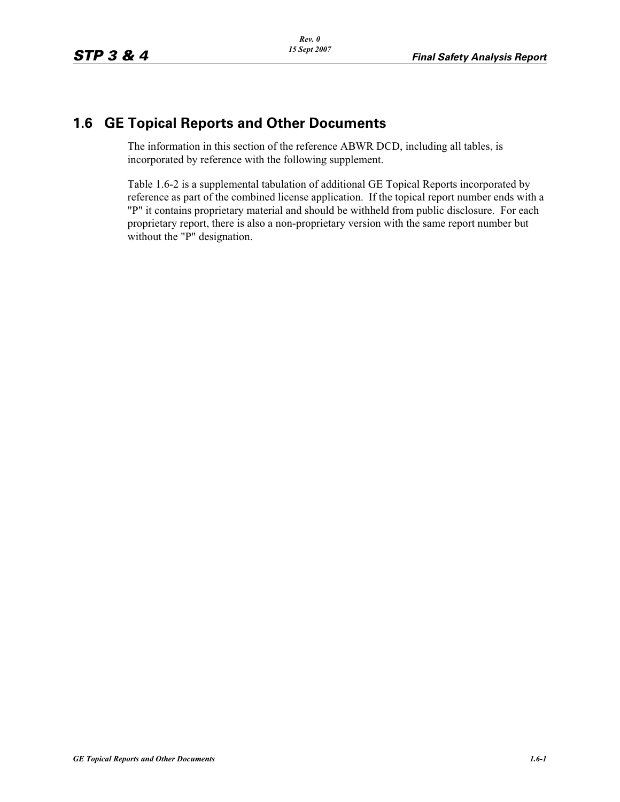## **1.6 GE Topical Reports and Other Documents**

The information in this section of the reference ABWR DCD, including all tables, is incorporated by reference with the following supplement.

Table 1.6-2 is a supplemental tabulation of additional GE Topical Reports incorporated by reference as part of the combined license application. If the topical report number ends with a "P" it contains proprietary material and should be withheld from public disclosure. For each proprietary report, there is also a non-proprietary version with the same report number but without the "P" designation.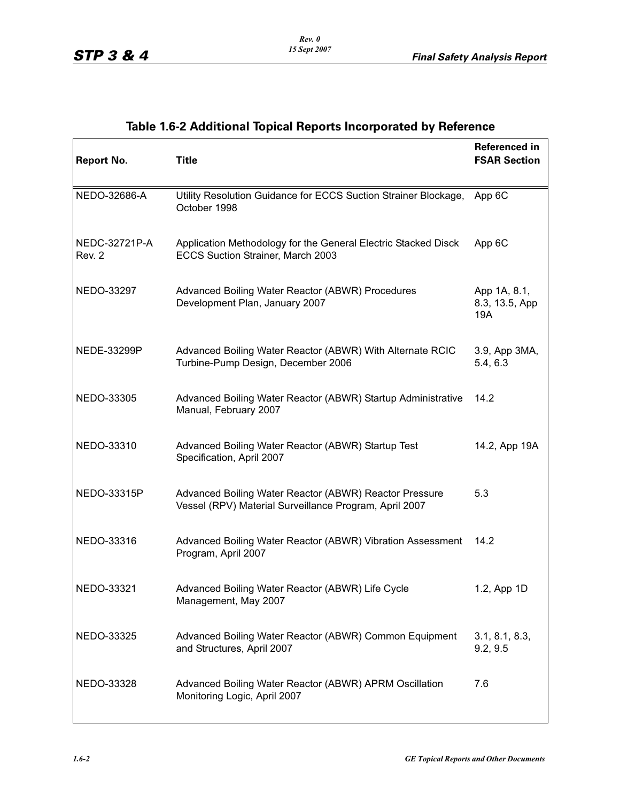| <b>Report No.</b>       | <b>Title</b>                                                                                                     | <b>Referenced in</b><br><b>FSAR Section</b> |
|-------------------------|------------------------------------------------------------------------------------------------------------------|---------------------------------------------|
| NEDO-32686-A            | Utility Resolution Guidance for ECCS Suction Strainer Blockage,<br>October 1998                                  | App 6C                                      |
| NEDC-32721P-A<br>Rev. 2 | Application Methodology for the General Electric Stacked Disck<br>ECCS Suction Strainer, March 2003              | App 6C                                      |
| NEDO-33297              | Advanced Boiling Water Reactor (ABWR) Procedures<br>Development Plan, January 2007                               | App 1A, 8.1,<br>8.3, 13.5, App<br>19A       |
| NEDE-33299P             | Advanced Boiling Water Reactor (ABWR) With Alternate RCIC<br>Turbine-Pump Design, December 2006                  | 3.9, App 3MA,<br>5.4, 6.3                   |
| NEDO-33305              | Advanced Boiling Water Reactor (ABWR) Startup Administrative<br>Manual, February 2007                            | 14.2                                        |
| NEDO-33310              | Advanced Boiling Water Reactor (ABWR) Startup Test<br>Specification, April 2007                                  | 14.2, App 19A                               |
| NEDO-33315P             | Advanced Boiling Water Reactor (ABWR) Reactor Pressure<br>Vessel (RPV) Material Surveillance Program, April 2007 | 5.3                                         |
| NEDO-33316              | Advanced Boiling Water Reactor (ABWR) Vibration Assessment<br>Program, April 2007                                | 14.2                                        |
| NEDO-33321              | Advanced Boiling Water Reactor (ABWR) Life Cycle<br>Management, May 2007                                         | 1.2, App 1D                                 |
| NEDO-33325              | Advanced Boiling Water Reactor (ABWR) Common Equipment<br>and Structures, April 2007                             | 3.1, 8.1, 8.3,<br>9.2, 9.5                  |
| NEDO-33328              | Advanced Boiling Water Reactor (ABWR) APRM Oscillation<br>Monitoring Logic, April 2007                           | 7.6                                         |

## **Table 1.6-2 Additional Topical Reports Incorporated by Reference**